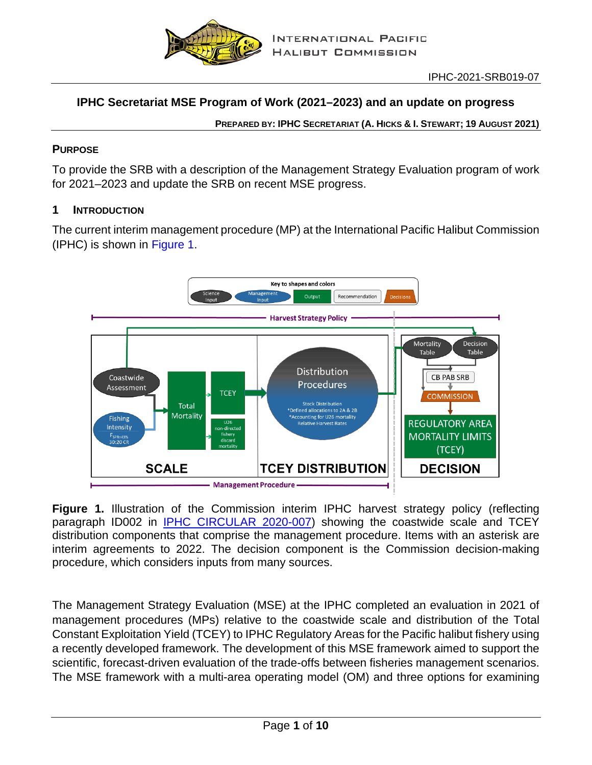

# **IPHC Secretariat MSE Program of Work (2021–2023) and an update on progress**

**PREPARED BY: IPHC SECRETARIAT (A. HICKS & I. STEWART; 19 AUGUST 2021)**

### **PURPOSE**

To provide the SRB with a description of the Management Strategy Evaluation program of work for 2021–2023 and update the SRB on recent MSE progress.

#### **1 INTRODUCTION**

The current interim management procedure (MP) at the International Pacific Halibut Commission (IPHC) is shown in [Figure 1.](#page-0-0)



<span id="page-0-0"></span>**Figure 1.** Illustration of the Commission interim IPHC harvest strategy policy (reflecting paragraph ID002 in [IPHC CIRCULAR 2020-007\)](https://www.iphc.int/uploads/pdf/cir/2020/iphc-2020-cr-007.pdf) showing the coastwide scale and TCEY distribution components that comprise the management procedure. Items with an asterisk are interim agreements to 2022. The decision component is the Commission decision-making procedure, which considers inputs from many sources.

The Management Strategy Evaluation (MSE) at the IPHC completed an evaluation in 2021 of management procedures (MPs) relative to the coastwide scale and distribution of the Total Constant Exploitation Yield (TCEY) to IPHC Regulatory Areas for the Pacific halibut fishery using a recently developed framework. The development of this MSE framework aimed to support the scientific, forecast-driven evaluation of the trade-offs between fisheries management scenarios. The MSE framework with a multi-area operating model (OM) and three options for examining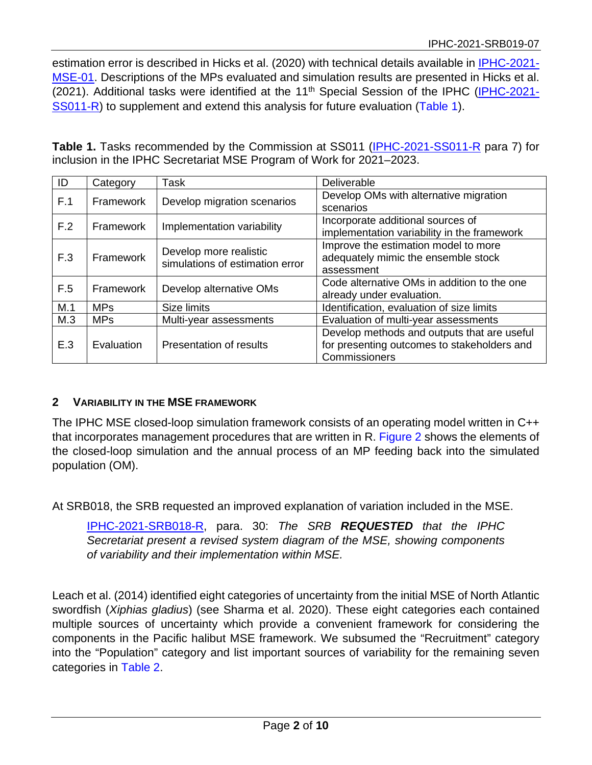estimation error is described in Hicks et al. (2020) with technical details available in **IPHC-2021-**[MSE-01.](https://www.iphc.int/uploads/pdf/msab/tech/iphc-2021-mse-01.pdf) Descriptions of the MPs evaluated and simulation results are presented in Hicks et al. (2021). Additional tasks were identified at the 11<sup>th</sup> Special Session of the IPHC [\(IPHC-2021-](https://www.iphc.int/uploads/pdf/sps/ss011/iphc-2021-ss011-r.pdf) [SS011-R\)](https://www.iphc.int/uploads/pdf/sps/ss011/iphc-2021-ss011-r.pdf) to supplement and extend this analysis for future evaluation [\(Table 1\)](#page-1-0).

<span id="page-1-0"></span>**Table 1.** Tasks recommended by the Commission at SS011 [\(IPHC-2021-SS011-R](https://www.iphc.int/uploads/pdf/sps/ss011/iphc-2021-ss011-r.pdf) para 7) for inclusion in the IPHC Secretariat MSE Program of Work for 2021–2023.

| ID               | Category   | Task                            | Deliverable                                 |  |  |  |
|------------------|------------|---------------------------------|---------------------------------------------|--|--|--|
| F.1              | Framework  | Develop migration scenarios     | Develop OMs with alternative migration      |  |  |  |
|                  |            |                                 | scenarios                                   |  |  |  |
| F.2              | Framework  | Implementation variability      | Incorporate additional sources of           |  |  |  |
|                  |            |                                 | implementation variability in the framework |  |  |  |
|                  |            | Develop more realistic          | Improve the estimation model to more        |  |  |  |
| F.3              | Framework  | simulations of estimation error | adequately mimic the ensemble stock         |  |  |  |
|                  |            |                                 | assessment                                  |  |  |  |
| Framework<br>F.5 |            | Develop alternative OMs         | Code alternative OMs in addition to the one |  |  |  |
|                  |            |                                 | already under evaluation.                   |  |  |  |
| M.1              | <b>MPs</b> | Size limits                     | Identification, evaluation of size limits   |  |  |  |
| M.3              | <b>MPs</b> | Multi-year assessments          | Evaluation of multi-year assessments        |  |  |  |
|                  |            |                                 | Develop methods and outputs that are useful |  |  |  |
| E.3              | Evaluation | Presentation of results         | for presenting outcomes to stakeholders and |  |  |  |
|                  |            |                                 | Commissioners                               |  |  |  |

## **2 VARIABILITY IN THE MSE FRAMEWORK**

The IPHC MSE closed-loop simulation framework consists of an operating model written in C++ that incorporates management procedures that are written in R. [Figure 2](#page-2-0) shows the elements of the closed-loop simulation and the annual process of an MP feeding back into the simulated population (OM).

At SRB018, the SRB requested an improved explanation of variation included in the MSE.

[IPHC-2021-SRB018-R,](https://iphc.int/uploads/pdf/srb/srb018/iphc-2021-srb018-r.pdf) para. 30: *The SRB REQUESTED that the IPHC Secretariat present a revised system diagram of the MSE, showing components of variability and their implementation within MSE.*

Leach et al. (2014) identified eight categories of uncertainty from the initial MSE of North Atlantic swordfish (*Xiphias gladius*) (see Sharma et al. 2020). These eight categories each contained multiple sources of uncertainty which provide a convenient framework for considering the components in the Pacific halibut MSE framework. We subsumed the "Recruitment" category into the "Population" category and list important sources of variability for the remaining seven categories in [Table 2.](#page-3-0)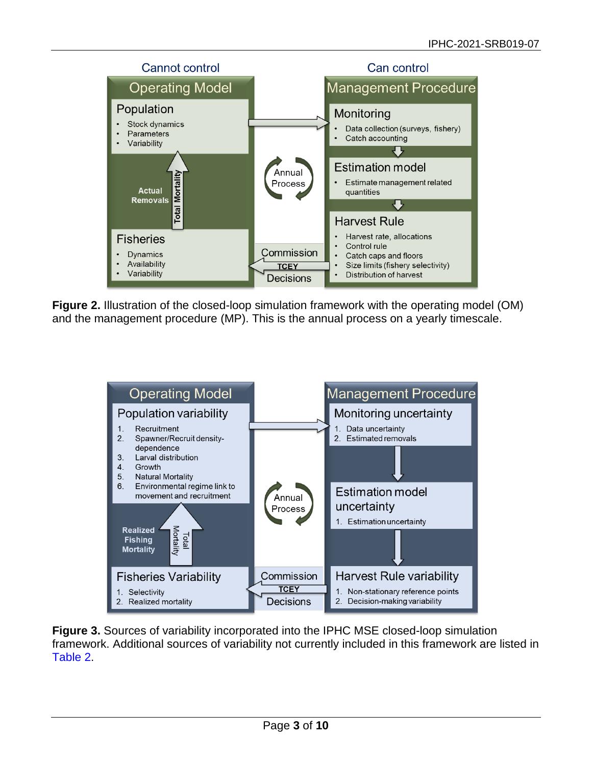

<span id="page-2-0"></span>**Figure 2.** Illustration of the closed-loop simulation framework with the operating model (OM) and the management procedure (MP). This is the annual process on a yearly timescale.



<span id="page-2-1"></span>**Figure 3.** Sources of variability incorporated into the IPHC MSE closed-loop simulation framework. Additional sources of variability not currently included in this framework are listed in [Table 2.](#page-3-0)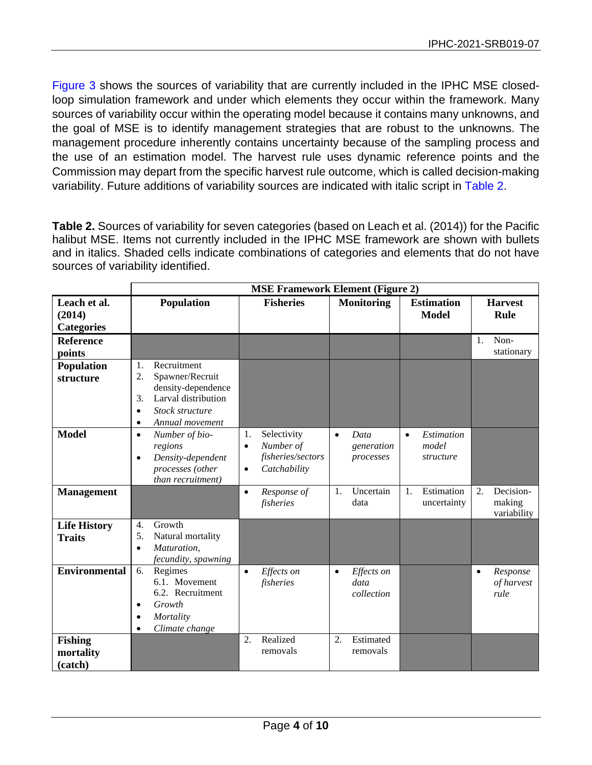[Figure 3](#page-2-1) shows the sources of variability that are currently included in the IPHC MSE closedloop simulation framework and under which elements they occur within the framework. Many sources of variability occur within the operating model because it contains many unknowns, and the goal of MSE is to identify management strategies that are robust to the unknowns. The management procedure inherently contains uncertainty because of the sampling process and the use of an estimation model. The harvest rule uses dynamic reference points and the Commission may depart from the specific harvest rule outcome, which is called decision-making variability. Future additions of variability sources are indicated with italic script in [Table 2.](#page-3-0)

<span id="page-3-0"></span>**Table 2.** Sources of variability for seven categories (based on Leach et al. (2014)) for the Pacific halibut MSE. Items not currently included in the IPHC MSE framework are shown with bullets and in italics. Shaded cells indicate combinations of categories and elements that do not have sources of variability identified.

|                                             | <b>MSE Framework Element (Figure 2)</b>                                                                                                                       |                                                                                               |                                               |                                               |                                                        |  |  |  |
|---------------------------------------------|---------------------------------------------------------------------------------------------------------------------------------------------------------------|-----------------------------------------------------------------------------------------------|-----------------------------------------------|-----------------------------------------------|--------------------------------------------------------|--|--|--|
| Leach et al.<br>(2014)<br><b>Categories</b> | <b>Population</b>                                                                                                                                             | <b>Fisheries</b>                                                                              | <b>Monitoring</b>                             | <b>Estimation</b><br><b>Model</b>             | <b>Harvest</b><br>Rule                                 |  |  |  |
| <b>Reference</b><br>points                  |                                                                                                                                                               |                                                                                               |                                               |                                               | Non-<br>1.<br>stationary                               |  |  |  |
| Population<br>structure                     | Recruitment<br>1.<br>Spawner/Recruit<br>2.<br>density-dependence<br>Larval distribution<br>3.<br>Stock structure<br>$\bullet$<br>Annual movement<br>$\bullet$ |                                                                                               |                                               |                                               |                                                        |  |  |  |
| <b>Model</b>                                | Number of bio-<br>$\bullet$<br>regions<br>Density-dependent<br>$\bullet$<br>processes (other<br>than recruitment)                                             | Selectivity<br>1.<br>Number of<br>$\bullet$<br>fisheries/sectors<br>Catchability<br>$\bullet$ | Data<br>$\bullet$<br>generation<br>processes  | Estimation<br>$\bullet$<br>model<br>structure |                                                        |  |  |  |
| <b>Management</b>                           |                                                                                                                                                               | Response of<br>$\bullet$<br>fisheries                                                         | Uncertain<br>1.<br>data                       | Estimation<br>1.<br>uncertainty               | Decision-<br>$\overline{2}$ .<br>making<br>variability |  |  |  |
| <b>Life History</b><br><b>Traits</b>        | Growth<br>4.<br>Natural mortality<br>5.<br>Maturation,<br>$\bullet$<br>fecundity, spawning                                                                    |                                                                                               |                                               |                                               |                                                        |  |  |  |
| <b>Environmental</b>                        | Regimes<br>6.<br>6.1. Movement<br>6.2. Recruitment<br>Growth<br>$\bullet$<br>Mortality<br>$\bullet$<br>Climate change<br>$\bullet$                            | Effects on<br>$\bullet$<br>fisheries                                                          | Effects on<br>$\bullet$<br>data<br>collection |                                               | Response<br>$\bullet$<br>of harvest<br>rule            |  |  |  |
| <b>Fishing</b><br>mortality<br>(catch)      |                                                                                                                                                               | Realized<br>2.<br>removals                                                                    | Estimated<br>2.<br>removals                   |                                               |                                                        |  |  |  |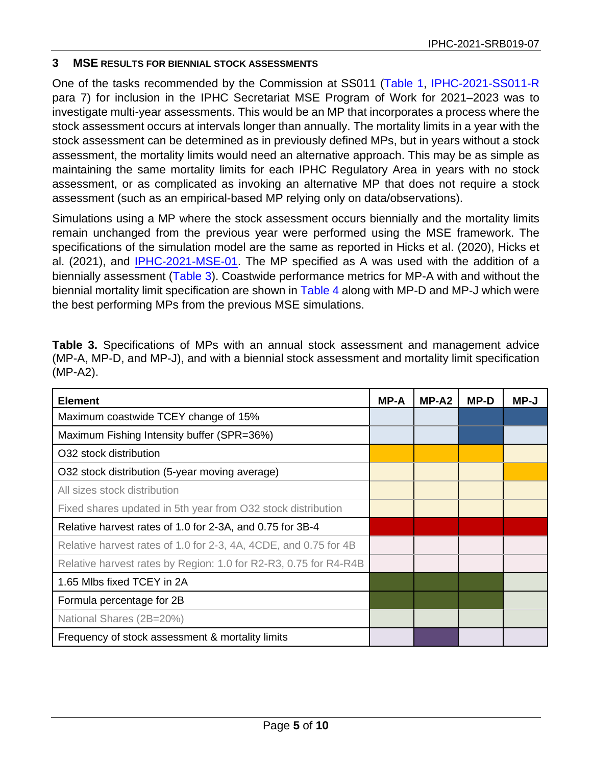#### **3 MSE RESULTS FOR BIENNIAL STOCK ASSESSMENTS**

One of the tasks recommended by the Commission at SS011 [\(Table 1,](#page-1-0) [IPHC-2021-SS011-R](https://www.iphc.int/uploads/pdf/sps/ss011/iphc-2021-ss011-r.pdf) para 7) for inclusion in the IPHC Secretariat MSE Program of Work for 2021–2023 was to investigate multi-year assessments. This would be an MP that incorporates a process where the stock assessment occurs at intervals longer than annually. The mortality limits in a year with the stock assessment can be determined as in previously defined MPs, but in years without a stock assessment, the mortality limits would need an alternative approach. This may be as simple as maintaining the same mortality limits for each IPHC Regulatory Area in years with no stock assessment, or as complicated as invoking an alternative MP that does not require a stock assessment (such as an empirical-based MP relying only on data/observations).

Simulations using a MP where the stock assessment occurs biennially and the mortality limits remain unchanged from the previous year were performed using the MSE framework. The specifications of the simulation model are the same as reported in Hicks et al. (2020), Hicks et al. (2021), and [IPHC-2021-MSE-01.](https://www.iphc.int/uploads/pdf/msab/tech/iphc-2021-mse-01.pdf) The MP specified as A was used with the addition of a biennially assessment [\(Table 3\)](#page-4-0). Coastwide performance metrics for MP-A with and without the biennial mortality limit specification are shown in [Table 4](#page-5-0) along with MP-D and MP-J which were the best performing MPs from the previous MSE simulations.

<span id="page-4-0"></span>

| <b>Table 3.</b> Specifications of MPs with an annual stock assessment and management advice    |  |
|------------------------------------------------------------------------------------------------|--|
| (MP-A, MP-D, and MP-J), and with a biennial stock assessment and mortality limit specification |  |
| (MP-A2).                                                                                       |  |

| <b>Element</b>                                                   | <b>MP-A</b> | MP-A2 | MP-D | MP-J |
|------------------------------------------------------------------|-------------|-------|------|------|
| Maximum coastwide TCEY change of 15%                             |             |       |      |      |
| Maximum Fishing Intensity buffer (SPR=36%)                       |             |       |      |      |
| O32 stock distribution                                           |             |       |      |      |
| O32 stock distribution (5-year moving average)                   |             |       |      |      |
| All sizes stock distribution                                     |             |       |      |      |
| Fixed shares updated in 5th year from O32 stock distribution     |             |       |      |      |
| Relative harvest rates of 1.0 for 2-3A, and 0.75 for 3B-4        |             |       |      |      |
| Relative harvest rates of 1.0 for 2-3, 4A, 4CDE, and 0.75 for 4B |             |       |      |      |
| Relative harvest rates by Region: 1.0 for R2-R3, 0.75 for R4-R4B |             |       |      |      |
| 1.65 Mlbs fixed TCEY in 2A                                       |             |       |      |      |
| Formula percentage for 2B                                        |             |       |      |      |
| National Shares (2B=20%)                                         |             |       |      |      |
| Frequency of stock assessment & mortality limits                 |             |       |      |      |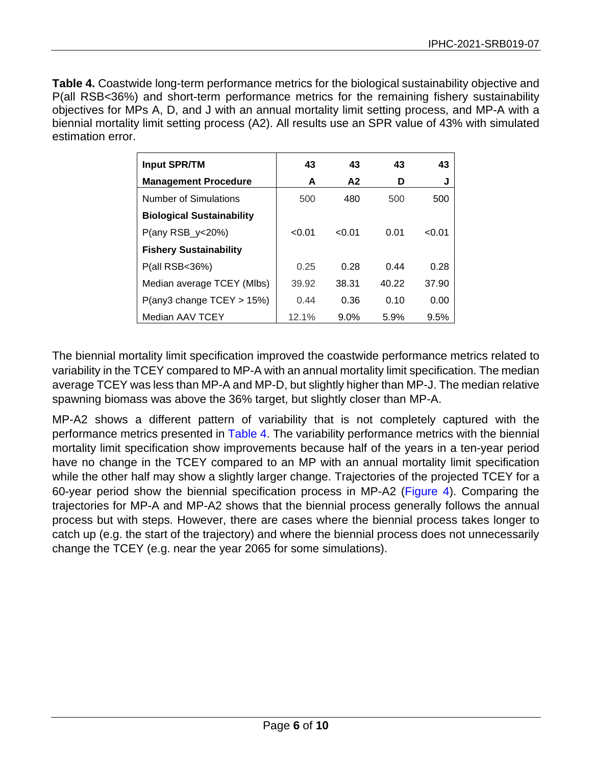<span id="page-5-0"></span>**Table 4.** Coastwide long-term performance metrics for the biological sustainability objective and P(all RSB<36%) and short-term performance metrics for the remaining fishery sustainability objectives for MPs A, D, and J with an annual mortality limit setting process, and MP-A with a biennial mortality limit setting process (A2). All results use an SPR value of 43% with simulated estimation error.

| <b>Input SPR/TM</b>              | 43     | 43      | 43    | 43     |
|----------------------------------|--------|---------|-------|--------|
| <b>Management Procedure</b>      | A      | A2      | D     | J      |
| Number of Simulations            | 500    | 480     | 500   | 500    |
| <b>Biological Sustainability</b> |        |         |       |        |
| $P($ any RSB_y<20%)              | < 0.01 | < 0.01  | 0.01  | < 0.01 |
| <b>Fishery Sustainability</b>    |        |         |       |        |
| P(all RSB<36%)                   | 0.25   | 0.28    | 0.44  | 0.28   |
| Median average TCEY (MIbs)       | 39.92  | 38.31   | 40.22 | 37.90  |
| $P($ any3 change TCEY > 15%)     | 0.44   | 0.36    | 0.10  | 0.00   |
| Median AAV TCEY                  | 12.1%  | $9.0\%$ | 5.9%  | 9.5%   |

The biennial mortality limit specification improved the coastwide performance metrics related to variability in the TCEY compared to MP-A with an annual mortality limit specification. The median average TCEY was less than MP-A and MP-D, but slightly higher than MP-J. The median relative spawning biomass was above the 36% target, but slightly closer than MP-A.

MP-A2 shows a different pattern of variability that is not completely captured with the performance metrics presented in [Table 4.](#page-5-0) The variability performance metrics with the biennial mortality limit specification show improvements because half of the years in a ten-year period have no change in the TCEY compared to an MP with an annual mortality limit specification while the other half may show a slightly larger change. Trajectories of the projected TCEY for a 60-year period show the biennial specification process in MP-A2 [\(Figure 4\)](#page-6-0). Comparing the trajectories for MP-A and MP-A2 shows that the biennial process generally follows the annual process but with steps. However, there are cases where the biennial process takes longer to catch up (e.g. the start of the trajectory) and where the biennial process does not unnecessarily change the TCEY (e.g. near the year 2065 for some simulations).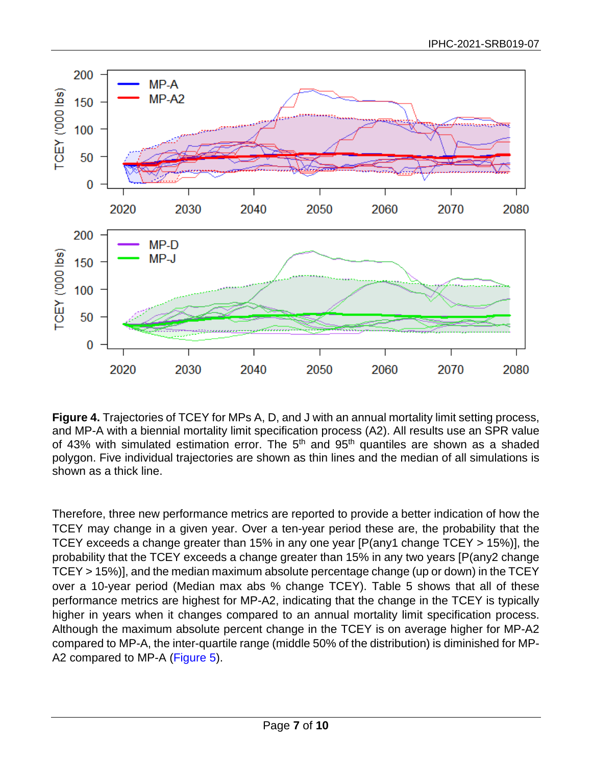

<span id="page-6-0"></span>**Figure 4.** Trajectories of TCEY for MPs A, D, and J with an annual mortality limit setting process, and MP-A with a biennial mortality limit specification process (A2). All results use an SPR value of 43% with simulated estimation error. The  $5<sup>th</sup>$  and  $95<sup>th</sup>$  quantiles are shown as a shaded polygon. Five individual trajectories are shown as thin lines and the median of all simulations is shown as a thick line.

Therefore, three new performance metrics are reported to provide a better indication of how the TCEY may change in a given year. Over a ten-year period these are, the probability that the TCEY exceeds a change greater than 15% in any one year [P(any1 change TCEY > 15%)], the probability that the TCEY exceeds a change greater than 15% in any two years [P(any2 change TCEY > 15%)], and the median maximum absolute percentage change (up or down) in the TCEY over a 10-year period (Median max abs % change TCEY). [Table 5](#page-7-0) shows that all of these performance metrics are highest for MP-A2, indicating that the change in the TCEY is typically higher in years when it changes compared to an annual mortality limit specification process. Although the maximum absolute percent change in the TCEY is on average higher for MP-A2 compared to MP-A, the inter-quartile range (middle 50% of the distribution) is diminished for MP-A2 compared to MP-A [\(Figure 5\)](#page-8-0).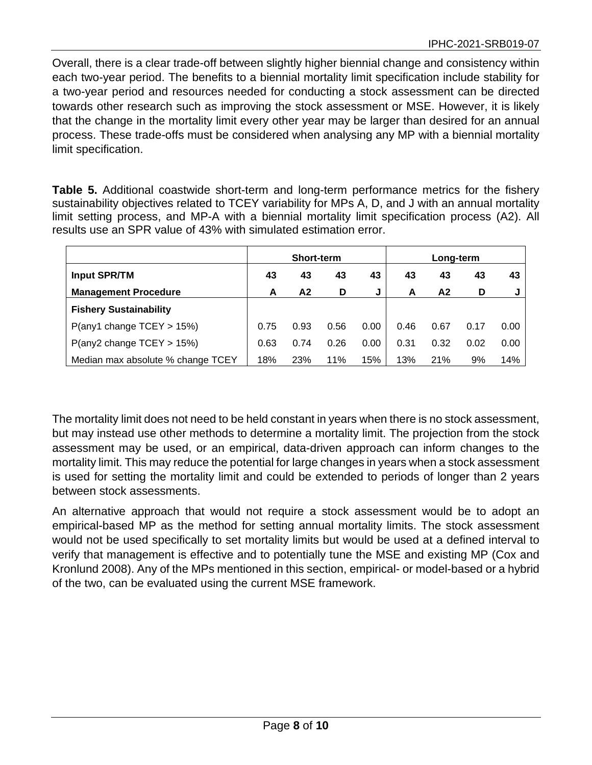Overall, there is a clear trade-off between slightly higher biennial change and consistency within each two-year period. The benefits to a biennial mortality limit specification include stability for a two-year period and resources needed for conducting a stock assessment can be directed towards other research such as improving the stock assessment or MSE. However, it is likely that the change in the mortality limit every other year may be larger than desired for an annual process. These trade-offs must be considered when analysing any MP with a biennial mortality limit specification.

<span id="page-7-0"></span>**Table 5.** Additional coastwide short-term and long-term performance metrics for the fishery sustainability objectives related to TCEY variability for MPs A, D, and J with an annual mortality limit setting process, and MP-A with a biennial mortality limit specification process (A2). All results use an SPR value of 43% with simulated estimation error.

|                                   | <b>Short-term</b> |                |      |      | Long-term |      |      |      |
|-----------------------------------|-------------------|----------------|------|------|-----------|------|------|------|
| <b>Input SPR/TM</b>               | 43                | 43             | 43   | 43   | 43        | 43   | 43   | 43   |
| <b>Management Procedure</b>       | A                 | A <sub>2</sub> | D    | J    | A         | A2   | D    |      |
| <b>Fishery Sustainability</b>     |                   |                |      |      |           |      |      |      |
| $P($ any1 change TCEY > 15%)      | 0.75              | 0.93           | 0.56 | 0.00 | 0.46      | 0.67 | 0.17 | 0.00 |
| $P($ any2 change TCEY > 15%)      | 0.63              | 0.74           | 0.26 | 0.00 | 0.31      | 0.32 | 0.02 | 0.00 |
| Median max absolute % change TCEY | 18%               | 23%            | 11%  | 15%  | 13%       | 21%  | 9%   | 14%  |

The mortality limit does not need to be held constant in years when there is no stock assessment, but may instead use other methods to determine a mortality limit. The projection from the stock assessment may be used, or an empirical, data-driven approach can inform changes to the mortality limit. This may reduce the potential for large changes in years when a stock assessment is used for setting the mortality limit and could be extended to periods of longer than 2 years between stock assessments.

An alternative approach that would not require a stock assessment would be to adopt an empirical-based MP as the method for setting annual mortality limits. The stock assessment would not be used specifically to set mortality limits but would be used at a defined interval to verify that management is effective and to potentially tune the MSE and existing MP (Cox and Kronlund 2008). Any of the MPs mentioned in this section, empirical- or model-based or a hybrid of the two, can be evaluated using the current MSE framework.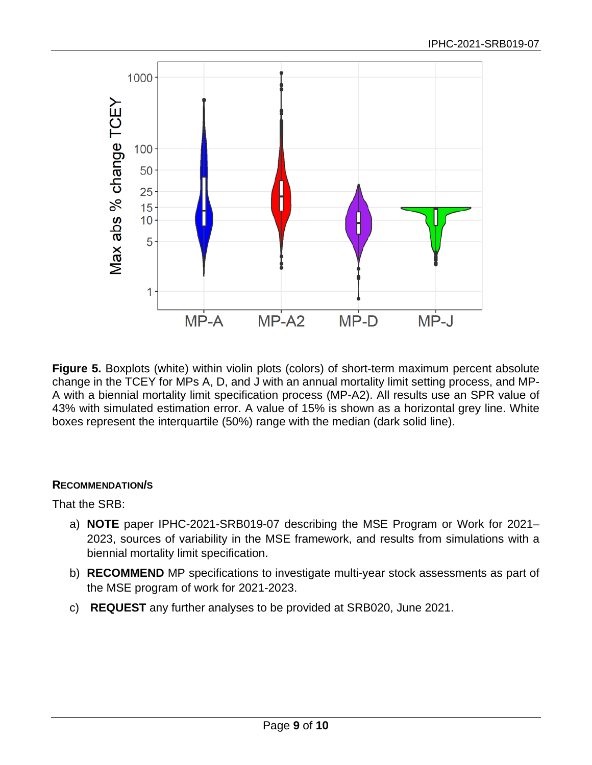

<span id="page-8-0"></span>**Figure 5.** Boxplots (white) within violin plots (colors) of short-term maximum percent absolute change in the TCEY for MPs A, D, and J with an annual mortality limit setting process, and MP-A with a biennial mortality limit specification process (MP-A2). All results use an SPR value of 43% with simulated estimation error. A value of 15% is shown as a horizontal grey line. White boxes represent the interquartile (50%) range with the median (dark solid line).

## **RECOMMENDATION/S**

That the SRB:

- a) **NOTE** paper IPHC-2021-SRB019-07 describing the MSE Program or Work for 2021– 2023, sources of variability in the MSE framework, and results from simulations with a biennial mortality limit specification.
- b) **RECOMMEND** MP specifications to investigate multi-year stock assessments as part of the MSE program of work for 2021-2023.
- c) **REQUEST** any further analyses to be provided at SRB020, June 2021.